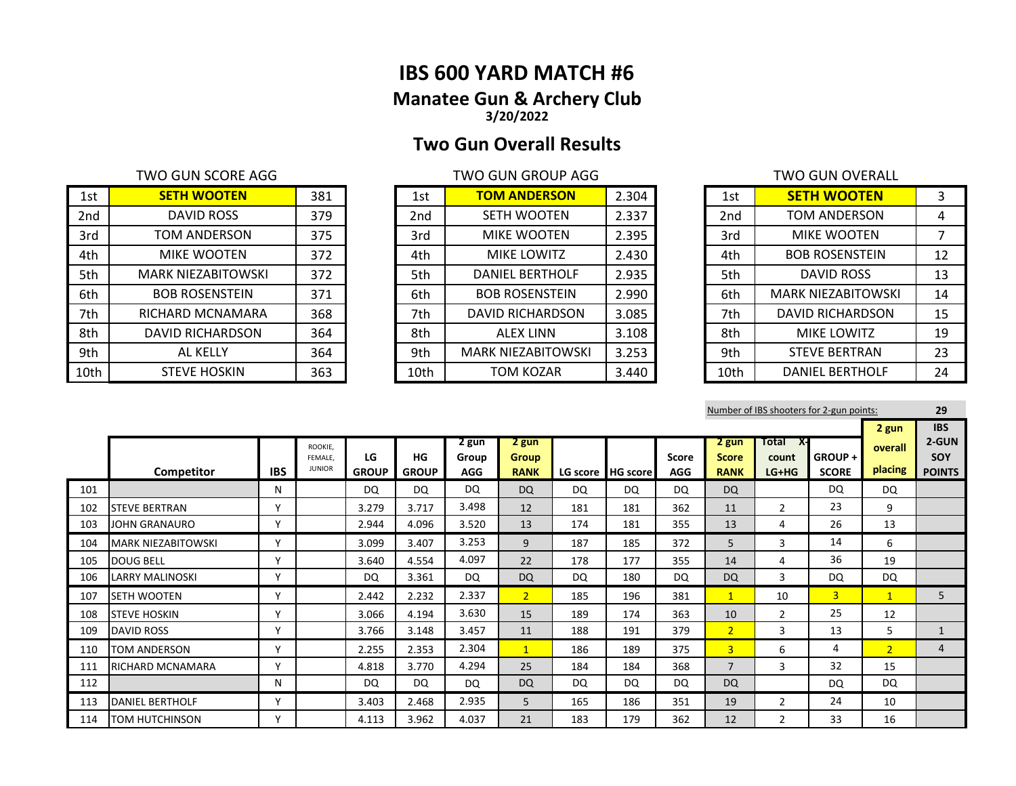# **IBS 600 YARD MATCH #6 Manatee Gun & Archery Club 3/20/2022**

# **Two Gun Overall Results**

### TWO GUN SCORE AGG TWO GUN GROUP AGG

| 1st  | <b>SETH WOOTEN</b>        | 381 | 1st             | <b>TOM ANDERSON</b>       | 2.304 | 1st  | <b>SETH WOOTEN</b>        |    |
|------|---------------------------|-----|-----------------|---------------------------|-------|------|---------------------------|----|
| 2nd  | DAVID ROSS                | 379 | 2 <sub>nd</sub> | SETH WOOTEN               | 2.337 | 2nd  | <b>TOM ANDERSON</b>       | 4  |
| 3rd  | TOM ANDERSON              | 375 | 3rd             | <b>MIKE WOOTEN</b>        | 2.395 | 3rd  | <b>MIKE WOOTEN</b>        |    |
| 4th  | <b>MIKE WOOTEN</b>        | 372 | 4th             | MIKE LOWITZ               | 2.430 | 4th  | <b>BOB ROSENSTEIN</b>     | 12 |
| 5th  | <b>MARK NIEZABITOWSKI</b> | 372 | 5th             | <b>DANIEL BERTHOLF</b>    | 2.935 | 5th  | DAVID ROSS                | 13 |
| 6th  | <b>BOB ROSENSTEIN</b>     | 371 | 6th             | <b>BOB ROSENSTEIN</b>     | 2.990 | 6th  | <b>MARK NIEZABITOWSKI</b> | 14 |
| 7th  | RICHARD MCNAMARA          | 368 | 7th             | <b>DAVID RICHARDSON</b>   | 3.085 | 7th  | DAVID RICHARDSON          | 15 |
| 8th  | DAVID RICHARDSON          | 364 | 8th             | <b>ALEX LINN</b>          | 3.108 | 8th  | MIKE LOWITZ               | 19 |
| 9th  | AL KELLY                  | 364 | 9th             | <b>MARK NIEZABITOWSKI</b> | 3.253 | 9th  | <b>STEVE BERTRAN</b>      | 23 |
| 10th | <b>STEVE HOSKIN</b>       | 363 | 10th            | TOM KOZAR                 | 3.440 | 10th | <b>DANIEL BERTHOLF</b>    | 24 |

| 1st             | <b>TOM ANDERSON</b>       | 2.304 |
|-----------------|---------------------------|-------|
| 2 <sub>nd</sub> | <b>SETH WOOTEN</b>        | 2.337 |
| 3rd             | MIKE WOOTEN               | 2.395 |
| 4th             | <b>MIKE LOWITZ</b>        | 2.430 |
| 5th             | <b>DANIEL BERTHOLF</b>    | 2.935 |
| 6th             | <b>BOB ROSENSTEIN</b>     | 2.990 |
| 7th             | <b>DAVID RICHARDSON</b>   | 3.085 |
| 8th             | <b>ALEX LINN</b>          | 3.108 |
| 9th             | <b>MARK NIEZABITOWSKI</b> | 3.253 |
| 10th            | <b>TOM KOZAR</b>          | 3.440 |

|                 | TWO GUN OVERALL           |    |
|-----------------|---------------------------|----|
| 1st             | <b>SETH WOOTEN</b>        | 3  |
| 2 <sub>nd</sub> | <b>TOM ANDERSON</b>       | 4  |
| 3rd             | <b>MIKE WOOTEN</b>        | 7  |
| 4th             | <b>BOB ROSENSTEIN</b>     | 12 |
| 5th             | <b>DAVID ROSS</b>         | 13 |
| 6th             | <b>MARK NIEZABITOWSKI</b> | 14 |
| 7th             | <b>DAVID RICHARDSON</b>   | 15 |
| 8th             | <b>MIKE LOWITZ</b>        | 19 |
| 9th             | <b>STEVE BERTRAN</b>      | 23 |
| 10th            | <b>DANIEL BERTHOLF</b>    | 24 |

|     |                           |              |                                     |              |              |            |                |           |                     |              |                |                | Number of IBS shooters for 2-gun points: |                | 29                  |
|-----|---------------------------|--------------|-------------------------------------|--------------|--------------|------------|----------------|-----------|---------------------|--------------|----------------|----------------|------------------------------------------|----------------|---------------------|
|     |                           |              |                                     |              |              | 2 gun      | 2 gun          |           |                     |              | 2 gun          | Total<br>– X-  |                                          | 2 gun          | <b>IBS</b><br>2-GUN |
|     |                           |              | ROOKIE.<br>FEMALE.<br><b>JUNIOR</b> | LG           | HG           | Group      | <b>Group</b>   |           |                     | <b>Score</b> | <b>Score</b>   | count          | <b>GROUP+</b>                            | overall        | <b>SOY</b>          |
|     | Competitor                | <b>IBS</b>   |                                     | <b>GROUP</b> | <b>GROUP</b> | <b>AGG</b> | <b>RANK</b>    |           | LG score   HG score | AGG          | <b>RANK</b>    | LG+HG          | <b>SCORE</b>                             | placing        | <b>POINTS</b>       |
| 101 |                           | N            |                                     | DQ           | <b>DQ</b>    | <b>DQ</b>  | <b>DQ</b>      | DQ        | DQ                  | DQ           | <b>DQ</b>      |                | DQ.                                      | DQ             |                     |
| 102 | <b>ISTEVE BERTRAN</b>     | $\checkmark$ |                                     | 3.279        | 3.717        | 3.498      | 12             | 181       | 181                 | 362          | 11             | $\mathfrak{p}$ | 23                                       | 9              |                     |
| 103 | JOHN GRANAURO             | $\checkmark$ |                                     | 2.944        | 4.096        | 3.520      | 13             | 174       | 181                 | 355          | 13             | 4              | 26                                       | 13             |                     |
| 104 | <b>MARK NIEZABITOWSKI</b> | $\checkmark$ |                                     | 3.099        | 3.407        | 3.253      | 9              | 187       | 185                 | 372          | 5              | 3              | 14                                       | 6              |                     |
| 105 | <b>DOUG BELL</b>          | $\checkmark$ |                                     | 3.640        | 4.554        | 4.097      | 22             | 178       | 177                 | 355          | 14             | 4              | 36                                       | 19             |                     |
| 106 | LARRY MALINOSKI           | ν            |                                     | <b>DQ</b>    | 3.361        | <b>DQ</b>  | <b>DQ</b>      | DQ        | 180                 | <b>DQ</b>    | <b>DQ</b>      | 3              | DQ                                       | <b>DQ</b>      |                     |
| 107 | <b>SETH WOOTEN</b>        | $\mathbf v$  |                                     | 2.442        | 2.232        | 2.337      | $\overline{2}$ | 185       | 196                 | 381          | $\mathbf{1}$   | 10             | $\overline{3}$                           | $\mathbf{1}$   | 5.                  |
| 108 | <b>STEVE HOSKIN</b>       | $\mathbf v$  |                                     | 3.066        | 4.194        | 3.630      | 15             | 189       | 174                 | 363          | 10             | $\overline{2}$ | 25                                       | 12             |                     |
| 109 | <b>DAVID ROSS</b>         | $\checkmark$ |                                     | 3.766        | 3.148        | 3.457      | 11             | 188       | 191                 | 379          | $\overline{2}$ | 3              | 13                                       | 5              | $\mathbf{1}$        |
| 110 | <b>TOM ANDERSON</b>       | $\checkmark$ |                                     | 2.255        | 2.353        | 2.304      | $\mathbf{1}$   | 186       | 189                 | 375          | $\overline{3}$ | 6              | 4                                        | $\overline{2}$ | 4                   |
| 111 | <b>RICHARD MCNAMARA</b>   | $\checkmark$ |                                     | 4.818        | 3.770        | 4.294      | 25             | 184       | 184                 | 368          | $\overline{7}$ | 3              | 32                                       | 15             |                     |
| 112 |                           | N            |                                     | DQ           | <b>DQ</b>    | <b>DQ</b>  | <b>DQ</b>      | <b>DQ</b> | DQ                  | <b>DQ</b>    | <b>DQ</b>      |                | DQ                                       | <b>DQ</b>      |                     |
| 113 | DANIEL BERTHOLF           | $\checkmark$ |                                     | 3.403        | 2.468        | 2.935      | 5              | 165       | 186                 | 351          | 19             | $\overline{2}$ | 24                                       | 10             |                     |
| 114 | TOM HUTCHINSON            | $\checkmark$ |                                     | 4.113        | 3.962        | 4.037      | 21             | 183       | 179                 | 362          | 12             | $\overline{2}$ | 33                                       | 16             |                     |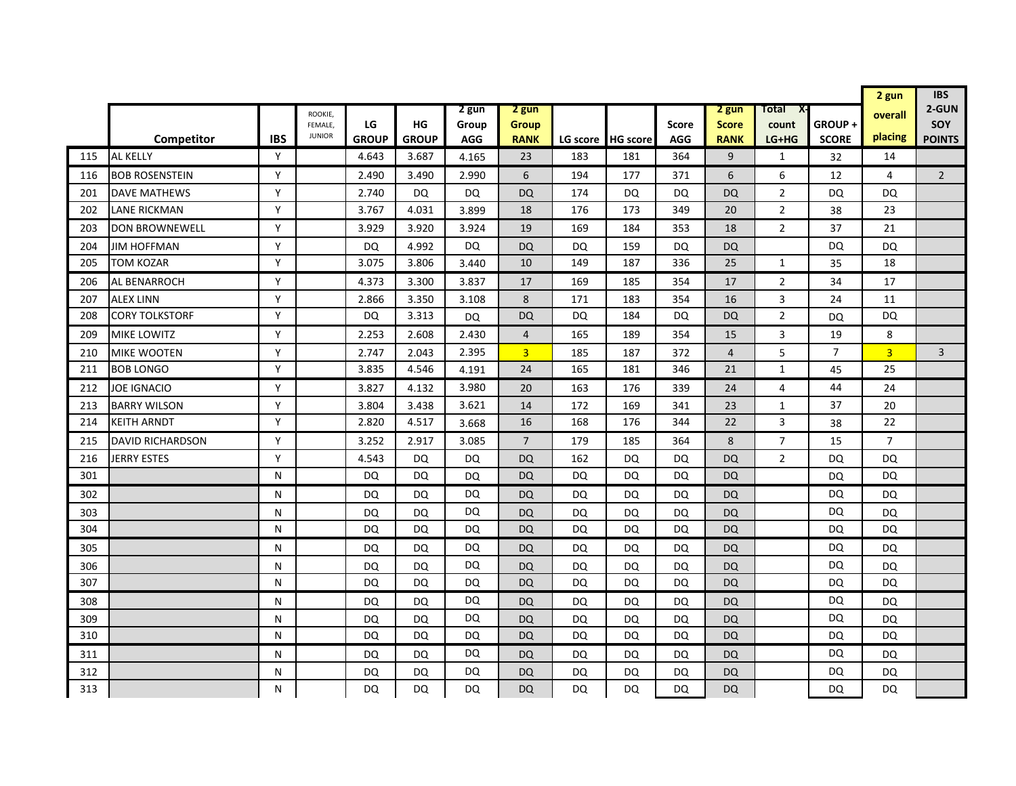|     |                         |            |                          |              |              |            |                |           |                   |              |                |                |                | 2 gun          | <b>IBS</b>     |
|-----|-------------------------|------------|--------------------------|--------------|--------------|------------|----------------|-----------|-------------------|--------------|----------------|----------------|----------------|----------------|----------------|
|     |                         |            | ROOKIE,                  |              |              | 2 gun      | 2 gun          |           |                   |              | 2 gun          | Total<br>X-    |                | overall        | 2-GUN          |
|     |                         |            | FEMALE.<br><b>JUNIOR</b> | LG           | HG           | Group      | Group          |           |                   | <b>Score</b> | <b>Score</b>   | count          | GROUP+         |                | <b>SOY</b>     |
|     | Competitor              | <b>IBS</b> |                          | <b>GROUP</b> | <b>GROUP</b> | <b>AGG</b> | <b>RANK</b>    |           | LG score HG score | <b>AGG</b>   | <b>RANK</b>    | LG+HG          | <b>SCORE</b>   | placing        | <b>POINTS</b>  |
| 115 | <b>AL KELLY</b>         | Y          |                          | 4.643        | 3.687        | 4.165      | 23             | 183       | 181               | 364          | 9              | $\mathbf{1}$   | 32             | 14             |                |
| 116 | <b>BOB ROSENSTEIN</b>   | Y          |                          | 2.490        | 3.490        | 2.990      | 6              | 194       | 177               | 371          | 6              | 6              | 12             | 4              | $\overline{2}$ |
| 201 | DAVE MATHEWS            | Y          |                          | 2.740        | DQ           | DQ         | <b>DQ</b>      | 174       | DQ                | <b>DQ</b>    | <b>DQ</b>      | $\overline{2}$ | DQ             | DQ             |                |
| 202 | LANE RICKMAN            | Y          |                          | 3.767        | 4.031        | 3.899      | 18             | 176       | 173               | 349          | 20             | $\overline{2}$ | 38             | 23             |                |
| 203 | <b>DON BROWNEWELL</b>   | Y          |                          | 3.929        | 3.920        | 3.924      | 19             | 169       | 184               | 353          | 18             | 2              | 37             | 21             |                |
| 204 | JIM HOFFMAN             | Y          |                          | DQ           | 4.992        | DQ         | <b>DQ</b>      | DQ        | 159               | DQ           | <b>DQ</b>      |                | <b>DQ</b>      | <b>DQ</b>      |                |
| 205 | TOM KOZAR               | Y          |                          | 3.075        | 3.806        | 3.440      | 10             | 149       | 187               | 336          | 25             | $\mathbf{1}$   | 35             | 18             |                |
| 206 | AL BENARROCH            | Y          |                          | 4.373        | 3.300        | 3.837      | 17             | 169       | 185               | 354          | 17             | 2              | 34             | 17             |                |
| 207 | <b>ALEX LINN</b>        | Y          |                          | 2.866        | 3.350        | 3.108      | 8              | 171       | 183               | 354          | 16             | 3              | 24             | 11             |                |
| 208 | <b>CORY TOLKSTORF</b>   | Y          |                          | <b>DQ</b>    | 3.313        | <b>DQ</b>  | <b>DQ</b>      | DQ        | 184               | DQ           | <b>DQ</b>      | $\overline{2}$ | DQ             | <b>DQ</b>      |                |
| 209 | <b>MIKE LOWITZ</b>      | Y          |                          | 2.253        | 2.608        | 2.430      | $\overline{4}$ | 165       | 189               | 354          | 15             | 3              | 19             | 8              |                |
| 210 | <b>MIKE WOOTEN</b>      | Y          |                          | 2.747        | 2.043        | 2.395      | $\overline{3}$ | 185       | 187               | 372          | $\overline{4}$ | 5              | $\overline{7}$ | $\overline{3}$ | $\overline{3}$ |
| 211 | <b>BOB LONGO</b>        | Y          |                          | 3.835        | 4.546        | 4.191      | 24             | 165       | 181               | 346          | 21             | $\mathbf{1}$   | 45             | 25             |                |
| 212 | <b>JOE IGNACIO</b>      | Y          |                          | 3.827        | 4.132        | 3.980      | 20             | 163       | 176               | 339          | 24             | 4              | 44             | 24             |                |
| 213 | <b>BARRY WILSON</b>     | Y          |                          | 3.804        | 3.438        | 3.621      | 14             | 172       | 169               | 341          | 23             | $\mathbf{1}$   | 37             | 20             |                |
| 214 | KEITH ARNDT             | Y          |                          | 2.820        | 4.517        | 3.668      | 16             | 168       | 176               | 344          | 22             | 3              | 38             | 22             |                |
| 215 | <b>DAVID RICHARDSON</b> | Y          |                          | 3.252        | 2.917        | 3.085      | $\overline{7}$ | 179       | 185               | 364          | 8              | 7              | 15             | 7              |                |
| 216 | JERRY ESTES             | Y          |                          | 4.543        | DQ           | DQ         | <b>DQ</b>      | 162       | DQ                | DQ           | DQ             | $\overline{2}$ | DQ             | DQ             |                |
| 301 |                         | N          |                          | <b>DQ</b>    | <b>DQ</b>    | DQ         | <b>DQ</b>      | <b>DQ</b> | DQ                | DQ           | <b>DQ</b>      |                | DQ             | <b>DQ</b>      |                |
| 302 |                         | N          |                          | DQ           | <b>DQ</b>    | DQ         | DQ             | DQ        | DQ                | DQ           | <b>DQ</b>      |                | DQ             | DQ             |                |
| 303 |                         | N          |                          | DQ           | DQ           | <b>DQ</b>  | <b>DQ</b>      | DQ        | DQ                | DQ           | <b>DQ</b>      |                | DQ             | DQ             |                |
| 304 |                         | N          |                          | DQ           | DQ           | <b>DQ</b>  | <b>DQ</b>      | DQ        | DQ                | DQ           | <b>DQ</b>      |                | DQ             | <b>DQ</b>      |                |
| 305 |                         | N          |                          | <b>DQ</b>    | DQ           | DQ         | <b>DQ</b>      | DQ        | DQ                | DQ           | DQ             |                | DQ             | DQ             |                |
| 306 |                         | N          |                          | DQ           | DQ           | <b>DQ</b>  | <b>DQ</b>      | <b>DQ</b> | DQ                | DQ           | <b>DQ</b>      |                | <b>DQ</b>      | <b>DQ</b>      |                |
| 307 |                         | N          |                          | DQ           | <b>DQ</b>    | DQ         | <b>DQ</b>      | DQ        | DQ                | DQ           | <b>DQ</b>      |                | DQ             | <b>DQ</b>      |                |
| 308 |                         | N          |                          | DQ           | DQ           | DQ         | DQ             | DQ        | DQ                | DQ           | <b>DQ</b>      |                | <b>DQ</b>      | DQ             |                |
| 309 |                         | N          |                          | DQ           | DQ           | <b>DQ</b>  | <b>DQ</b>      | DQ        | DQ                | DQ           | <b>DQ</b>      |                | DQ             | DQ             |                |
| 310 |                         | N          |                          | DQ           | DQ           | DQ         | <b>DQ</b>      | DQ        | DQ                | DQ           | <b>DQ</b>      |                | DQ             | DQ             |                |
| 311 |                         | N          |                          | DQ           | DQ           | DQ         | DQ             | DQ        | DQ                | DQ           | <b>DQ</b>      |                | DQ             | DQ             |                |
| 312 |                         | N          |                          | DQ           | DQ           | DQ         | DQ             | DQ        | DQ                | DQ           | <b>DQ</b>      |                | DQ             | DQ             |                |
| 313 |                         | N          |                          | DQ           | DQ           | DQ         | DQ             | DQ        | DQ                | DQ           | <b>DQ</b>      |                | DQ             | DQ             |                |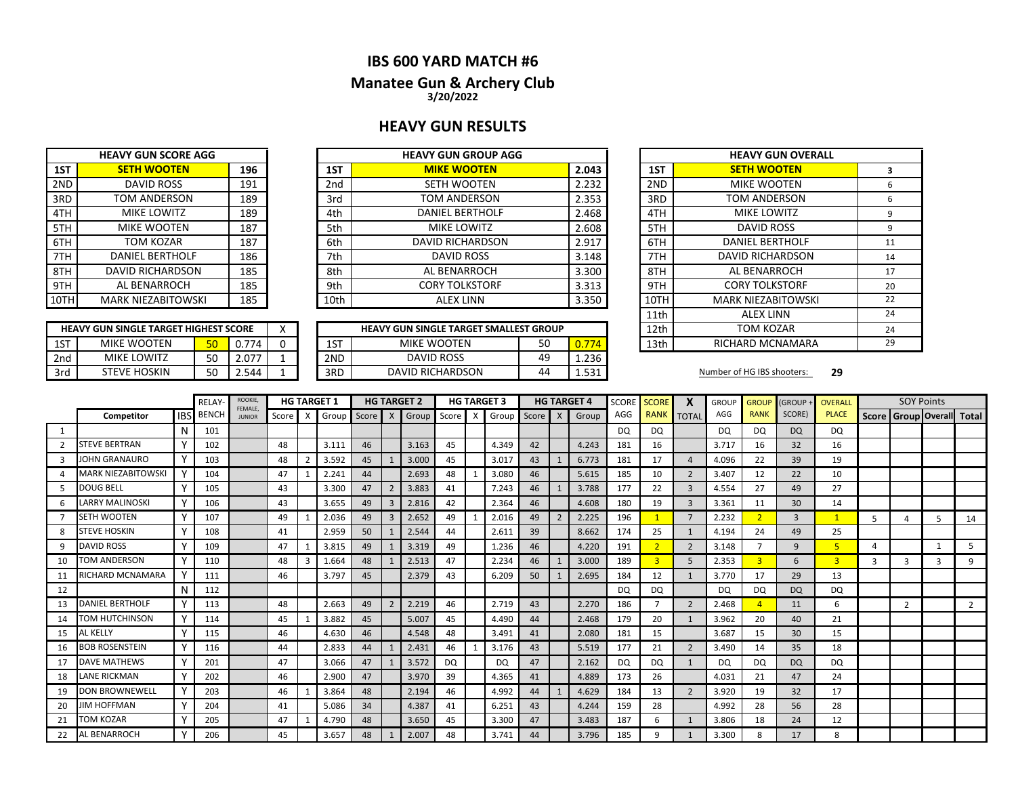## **IBS 600 YARD MATCH #6**

### **Manatee Gun & Archery Club 3/20/2022**

### **HEAVY GUN RESULTS**

|      | <b>HEAVY GUN SCORE AGG</b> |     |
|------|----------------------------|-----|
| 1ST  | <b>SETH WOOTEN</b>         | 196 |
| 2ND  | <b>DAVID ROSS</b>          | 191 |
| 3RD  | <b>TOM ANDERSON</b>        | 189 |
| 4TH  | <b>MIKE LOWITZ</b>         | 189 |
| 5TH  | MIKE WOOTEN                | 187 |
| 6TH  | TOM KOZAR                  | 187 |
| 7TH  | <b>DANIEL BERTHOLF</b>     | 186 |
| 8TH  | <b>DAVID RICHARDSON</b>    | 185 |
| 9TH  | AL BENARROCH               | 185 |
| 10TH | MARK NIEZABITOWSKI         | 185 |

|       | <b>HEAVY GUN GROUP AGG</b> |                 |     | <b>HEAVY GUN SCORE AGG</b> |      |
|-------|----------------------------|-----------------|-----|----------------------------|------|
|       |                            |                 |     |                            |      |
| 2.043 | <b>MIKE WOOTEN</b>         | 1ST             | 196 | <b>SETH WOOTEN</b>         | 1ST  |
| 2.232 | <b>SETH WOOTEN</b>         | 2 <sub>nd</sub> | 191 | DAVID ROSS                 | 2ND  |
| 2.353 | TOM ANDERSON               | 3rd             | 189 | TOM ANDERSON               | 3RD  |
| 2.468 | <b>DANIEL BERTHOLF</b>     | 4th             | 189 | <b>MIKE LOWITZ</b>         | 4TH  |
| 2.608 | <b>MIKE LOWITZ</b>         | 5th             | 187 | <b>MIKE WOOTEN</b>         | 5TH  |
| 2.917 | DAVID RICHARDSON           | 6th             | 187 | TOM KOZAR                  | 6TH  |
| 3.148 | <b>DAVID ROSS</b>          | 7th             | 186 | <b>DANIEL BERTHOLF</b>     | 7TH  |
| 3.300 | AL BENARROCH               | 8th             | 185 | DAVID RICHARDSON           | 8TH  |
| 3.313 | <b>CORY TOLKSTORF</b>      | 9th             | 185 | AL BENARROCH               | 9TH  |
| 3.350 | <b>ALEX LINN</b>           | 10th            | 185 | <b>MARK NIEZABITOWSKI</b>  | 10TH |

|     | <b>HEAVY GUN SINGLE TARGET HIGHEST SCORE</b> |                 |              |  |     | <b>HEAVY GUN SINGLE TARGET SMALLEST GROUP</b> |    |       | 12th | TOM KOZAR                  |    |
|-----|----------------------------------------------|-----------------|--------------|--|-----|-----------------------------------------------|----|-------|------|----------------------------|----|
| 1ST | MIKE WOOTEN                                  | EΩ              | .774         |  | 1ST | MIKE WOOTEN                                   | 50 |       | 13th | RICHARD MCNAMARA           |    |
| 2nd | <b>MIKE LOWITZ</b>                           | <b>FO</b><br>JU | 1.077<br>z.u |  | 2ND | <b>DAVID ROSS</b>                             | 49 | 1.236 |      |                            |    |
| 3rd | <b>STEVE HOSKIN</b>                          | r o<br>JU       | .544         |  | 3RD | <b>DAVID RICHARDSON</b>                       | 44 | 521   |      | Number of HG IBS shooters: | 29 |

| <b>HEAVY GUN GROUP AGG</b>      |    |       |      | <b>HEAVY GUN OVERALL</b>  |    |
|---------------------------------|----|-------|------|---------------------------|----|
| <b>MIKE WOOTEN</b>              |    | 2.043 | 1ST  | <b>SETH WOOTEN</b>        | 3  |
| <b>SETH WOOTEN</b>              |    | 2.232 | 2ND  | <b>MIKE WOOTEN</b>        | 6  |
| TOM ANDERSON                    |    | 2.353 | 3RD  | TOM ANDERSON              | 6  |
| <b>DANIEL BERTHOLF</b>          |    | 2.468 | 4TH  | MIKE LOWITZ               | 9  |
| MIKE LOWITZ                     |    | 2.608 | 5TH  | DAVID ROSS                | 9  |
| DAVID RICHARDSON                |    | 2.917 | 6TH  | <b>DANIEL BERTHOLF</b>    | 11 |
| <b>DAVID ROSS</b>               |    | 3.148 | 7TH  | <b>DAVID RICHARDSON</b>   | 14 |
| AL BENARROCH                    |    | 3.300 | 8TH  | AL BENARROCH              | 17 |
| <b>CORY TOLKSTORF</b>           |    | 3.313 | 9TH  | <b>CORY TOLKSTORF</b>     | 20 |
| <b>ALEX LINN</b>                |    | 3.350 | 10TH | <b>MARK NIEZABITOWSKI</b> | 22 |
|                                 |    |       | 11th | <b>ALEX LINN</b>          | 24 |
| UN SINGLE TARGET SMALLEST GROUP |    |       | 12th | <b>TOM KOZAR</b>          | 24 |
| MIKE WOOTEN                     | 50 | 0.774 | 13th | RICHARD MCNAMARA          | 29 |

|    |                        |             | <b>RELAY</b>     | ROOKIE,<br>FEMALE. |       |                | <b>HG TARGET 1</b> |         |                         | <b>HG TARGET 2</b> |           |                           | <b>HG TARGET 3</b> |    |                | <b>HG TARGET 4</b> | <b>SCORE</b> | <b>SCORE</b>   | X              | <b>GROUP</b> | <b>GROUP</b>   | <b>GROUP</b>   | OVERALL        |   | <b>SOY Points</b>         |              |    |
|----|------------------------|-------------|------------------|--------------------|-------|----------------|--------------------|---------|-------------------------|--------------------|-----------|---------------------------|--------------------|----|----------------|--------------------|--------------|----------------|----------------|--------------|----------------|----------------|----------------|---|---------------------------|--------------|----|
|    | Competitor             |             | <b>IBS</b> BENCH | <b>JUNIOR</b>      | Score | $\times$       | Group              | Score X |                         | Group Score        |           | $\boldsymbol{\mathsf{X}}$ | Group Score        |    | $\mathsf{X}$   | Group              | AGG          | <b>RANK</b>    | <b>TOTAL</b>   | AGG          | <b>RANK</b>    | SCORE)         | <b>PLACE</b>   |   | Score Group Overall Total |              |    |
| 1  |                        | N           | 101              |                    |       |                |                    |         |                         |                    |           |                           |                    |    |                |                    | DQ           | DQ             |                | DQ           | <b>DQ</b>      | <b>DQ</b>      | DQ             |   |                           |              |    |
| 2  | <b>STEVE BERTRAN</b>   |             | 102              |                    | 48    |                | 3.111              | 46      |                         | 3.163              | 45        |                           | 4.349              | 42 |                | 4.243              | 181          | 16             |                | 3.717        | 16             | 32             | 16             |   |                           |              |    |
| 3  | JOHN GRANAURO          |             | 103              |                    | 48    | $\overline{2}$ | 3.592              | 45      |                         | 3.000              | 45        |                           | 3.017              | 43 |                | 6.773              | 181          | 17             | $\overline{a}$ | 4.096        | 22             | 39             | 19             |   |                           |              |    |
|    | MARK NIEZABITOWSKI     | ٧           | 104              |                    | 47    |                | 2.241              | 44      |                         | 2.693              | 48        |                           | 3.080              | 46 |                | 5.615              | 185          | 10             | 2              | 3.407        | 12             | 22             | 10             |   |                           |              |    |
|    | DOUG BELL              |             | 105              |                    | 43    |                | 3.300              | 47      | $\overline{2}$          | 3.883              | 41        |                           | 7.243              | 46 |                | 3.788              | 177          | 22             | $\overline{3}$ | 4.554        | 27             | 49             | 27             |   |                           |              |    |
|    | <b>LARRY MALINOSKI</b> |             | 106              |                    | 43    |                | 3.655              | 49      | 3                       | 2.816              | 42        |                           | 2.364              | 46 |                | 4.608              | 180          | 19             | 3              | 3.361        | 11             | 30             | 14             |   |                           |              |    |
|    | <b>SETH WOOTEN</b>     |             | 107              |                    | 49    |                | 2.036              | 49      | $\overline{\mathbf{3}}$ | 2.652              | 49        |                           | 2.016              | 49 | $\overline{2}$ | 2.225              | 196          |                | $\overline{7}$ | 2.232        | $\overline{2}$ | $\overline{3}$ | $\mathbf{1}$   | 5 | 4                         | 5.           | 14 |
| 8  | <b>STEVE HOSKIN</b>    |             | 108              |                    | 41    |                | 2.959              | 50      |                         | 2.544              | 44        |                           | 2.611              | 39 |                | 8.662              | 174          | 25             | $\mathbf{1}$   | 4.194        | 24             | 49             | 25             |   |                           |              |    |
| 9  | <b>DAVID ROSS</b>      | $\mathbf v$ | 109              |                    | 47    |                | 3.815              | 49      |                         | 3.319              | 49        |                           | 1.236              | 46 |                | 4.220              | 191          | $\overline{2}$ | 2              | 3.148        |                | 9              | 5 <sup>2</sup> | 4 |                           | $\mathbf{1}$ | 5  |
| 10 | TOM ANDERSON           | $\mathbf v$ | 110              |                    | 48    | 3              | .664               | 48      |                         | 2.513              | 47        |                           | 2.234              | 46 |                | 3.000              | 189          | 3              | 5              | 2.353        | $\overline{3}$ | 6              | $\overline{3}$ | 3 | 3                         | 3            | 9  |
| 11 | RICHARD MCNAMARA       |             | 111              |                    | 46    |                | 3.797              | 45      |                         | 2.379              | 43        |                           | 6.209              | 50 |                | 2.695              | 184          | 12             | 1              | 3.770        | 17             | 29             | 13             |   |                           |              |    |
| 12 |                        | N           | 112              |                    |       |                |                    |         |                         |                    |           |                           |                    |    |                |                    | DQ           | <b>DQ</b>      |                | <b>DQ</b>    | <b>DQ</b>      | <b>DQ</b>      | DQ             |   |                           |              |    |
| 13 | DANIEL BERTHOLF        |             | 113              |                    | 48    |                | 2.663              | 49      | $\overline{2}$          | 2.219              | 46        |                           | 2.719              | 43 |                | 2.270              | 186          |                | $\overline{2}$ | 2.468        |                | 11             | 6              |   | $\overline{2}$            |              | 2  |
| 14 | TOM HUTCHINSON         |             | 114              |                    | 45    |                | 3.882              | 45      |                         | 5.007              | 45        |                           | 4.490              | 44 |                | 2.468              | 179          | 20             | -1             | 3.962        | 20             | 40             | 21             |   |                           |              |    |
| 15 | AL KELLY               | <b>V</b>    | 115              |                    | 46    |                | 4.630              | 46      |                         | 4.548              | 48        |                           | 3.491              | 41 |                | 2.080              | 181          | 15             |                | 3.687        | 15             | 30             | 15             |   |                           |              |    |
| 16 | <b>BOB ROSENSTEIN</b>  | ν           | 116              |                    | 44    |                | 2.833              | 44      |                         | 2.431              | 46        |                           | 3.176              | 43 |                | 5.519              | 177          | 21             | 2              | 3.490        | 14             | 35             | 18             |   |                           |              |    |
| 17 | <b>DAVE MATHEWS</b>    |             | 201              |                    | 47    |                | 3.066              | 47      |                         | 3.572              | <b>DQ</b> |                           | <b>DQ</b>          | 47 |                | 2.162              | DQ           | DQ             | $\mathbf{1}$   | DQ           | DQ             | <b>DQ</b>      | <b>DQ</b>      |   |                           |              |    |
| 18 | <b>LANE RICKMAN</b>    |             | 202              |                    | 46    |                | 2.900              | 47      |                         | 3.970              | 39        |                           | 4.365              | 41 |                | 4.889              | 173          | 26             |                | 4.031        | 21             | 47             | 24             |   |                           |              |    |
| 19 | DON BROWNEWELL         |             | 203              |                    | 46    |                | 3.864              | 48      |                         | 2.194              | 46        |                           | 4.992              | 44 |                | 4.629              | 184          | 13             | 2              | 3.920        | 19             | 32             | 17             |   |                           |              |    |
| 20 | <b>IIM HOFFMAN</b>     |             | 204              |                    | 41    |                | 5.086              | 34      |                         | 4.387              | 41        |                           | 6.251              | 43 |                | 4.244              | 159          | 28             |                | 4.992        | 28             | 56             | 28             |   |                           |              |    |
| 21 | TOM KOZAR              |             | 205              |                    | 47    |                | 4.790              | 48      |                         | 3.650              | 45        |                           | 3.300              | 47 |                | 3.483              | 187          |                |                | 3.806        | 18             | 24             | 12             |   |                           |              |    |
| 22 | AL BENARROCH           |             | 206              |                    | 45    |                | 3.657              | 48      |                         | 2.007              | 48        |                           | 3.741              | 44 |                | 3.796              | 185          | q              |                | 3.300        | 8              | 17             | 8              |   |                           |              |    |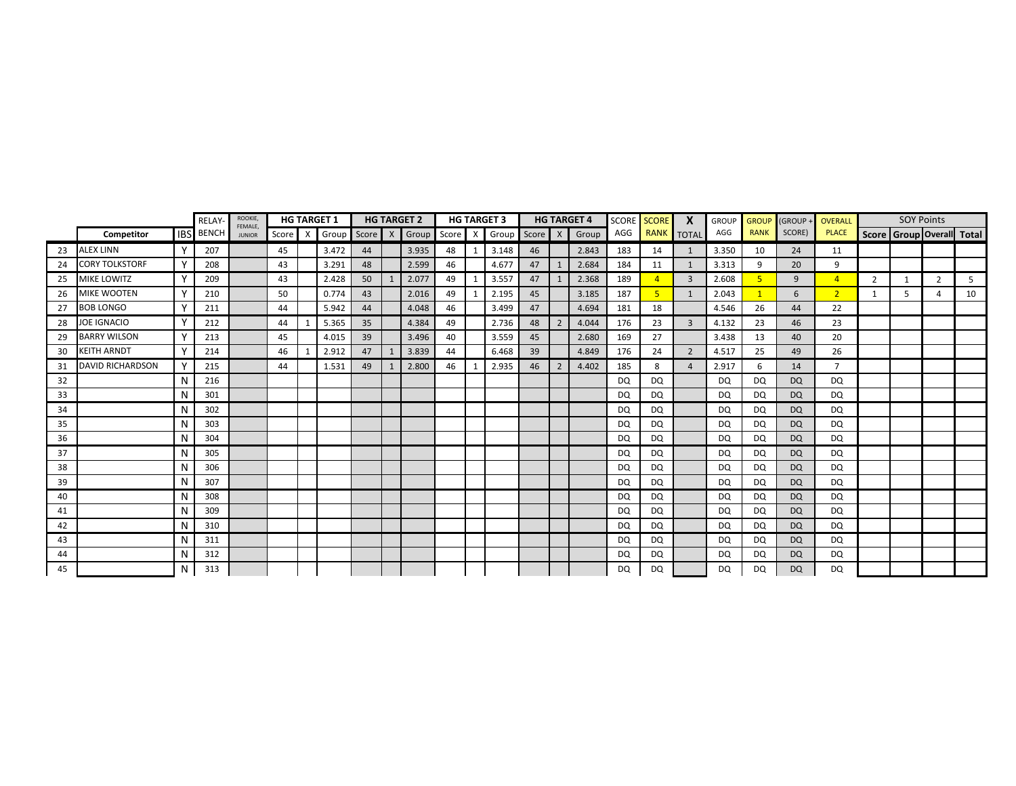|    |                         |              | RELAY-       | ROOKIE,                  |       |              | <b>HG TARGET 1</b> |         |   | <b>HG TARGET 2</b> |    |              | <b>HG TARGET 3</b>  |         | <b>HG TARGET 4</b> |           | SCORE SCORE    | $\boldsymbol{\mathsf{x}}$ | <b>GROUP</b> | <b>GROUP</b> | (GROUP    | <b>OVERALL</b> |                | <b>SOY Points</b> |   |                           |
|----|-------------------------|--------------|--------------|--------------------------|-------|--------------|--------------------|---------|---|--------------------|----|--------------|---------------------|---------|--------------------|-----------|----------------|---------------------------|--------------|--------------|-----------|----------------|----------------|-------------------|---|---------------------------|
|    | Competitor              | <b>IBS</b>   | <b>BENCH</b> | FEMALE.<br><b>JUNIOR</b> | Score | $\mathsf{X}$ | Group              | Score X |   |                    |    |              | Group Score X Group | Score X | Group              | AGG       |                | RANK TOTAL                | AGG          | <b>RANK</b>  | SCORE)    | <b>PLACE</b>   |                |                   |   | Score Group Overall Total |
| 23 | <b>ALEX LINN</b>        |              | 207          |                          | 45    |              | 3.472              | 44      |   | 3.935              | 48 | 1            | 3.148               | 46      | 2.843              | 183       | 14             | 1                         | 3.350        | 10           | 24        | 11             |                |                   |   |                           |
| 24 | <b>CORY TOLKSTORF</b>   | Y            | 208          |                          | 43    |              | 3.291              | 48      |   | 2.599              | 46 |              | 4.677               | 47      | 2.684              | 184       | 11             | 1                         | 3.313        | 9            | 20        | 9              |                |                   |   |                           |
| 25 | <b>MIKE LOWITZ</b>      | <b>V</b>     | 209          |                          | 43    |              | 2.428              | 50      | 1 | 2.077              | 49 | 1            | 3.557               | 47      | 2.368              | 189       | $\overline{A}$ | $\overline{3}$            | 2.608        |              | 9         | $\overline{4}$ | $\overline{2}$ | $\mathbf{1}$      | 2 | 5                         |
| 26 | MIKE WOOTEN             | Y            | 210          |                          | 50    |              | 0.774              | 43      |   | 2.016              | 49 | $\mathbf{1}$ | 2.195               | 45      | 3.185              | 187       | 5              | 1                         | 2.043        |              | 6         | $\overline{2}$ |                | 5                 | Δ | 10                        |
| 27 | <b>BOB LONGO</b>        | $\vee$       | 211          |                          | 44    |              | 5.942              | 44      |   | 4.048              | 46 |              | 3.499               | 47      | 4.694              | 181       | 18             |                           | 4.546        | 26           | 44        | 22             |                |                   |   |                           |
| 28 | <b>JOE IGNACIO</b>      | Y            | 212          |                          | 44    |              | 5.365              | 35      |   | 4.384              | 49 |              | 2.736               | 48      | 4.044              | 176       | 23             | $\overline{3}$            | 4.132        | 23           | 46        | 23             |                |                   |   |                           |
| 29 | <b>BARRY WILSON</b>     | v            | 213          |                          | 45    |              | 4.015              | 39      |   | 3.496              | 40 |              | 3.559               | 45      | 2.680              | 169       | 27             |                           | 3.438        | 13           | 40        | 20             |                |                   |   |                           |
| 30 | <b>KEITH ARNDT</b>      | $\mathsf{v}$ | 214          |                          | 46    |              | 2.912              | 47      |   | 3.839              | 44 |              | 6.468               | 39      | 4.849              | 176       | 24             | $\overline{2}$            | 4.517        | 25           | 49        | 26             |                |                   |   |                           |
| 31 | <b>DAVID RICHARDSON</b> | v            | 215          |                          | 44    |              | 1.531              | 49      |   | 2.800              | 46 | -1           | 2.935               | 46      | 4.402              | 185       | 8              | $\overline{a}$            | 2.917        | 6            | 14        | $\overline{7}$ |                |                   |   |                           |
| 32 |                         | <b>N</b>     | 216          |                          |       |              |                    |         |   |                    |    |              |                     |         |                    | DQ        | <b>DQ</b>      |                           | DQ           | DQ           | <b>DQ</b> | DQ             |                |                   |   |                           |
| 33 |                         | N            | 301          |                          |       |              |                    |         |   |                    |    |              |                     |         |                    | DQ        | <b>DQ</b>      |                           | DQ           | DQ           | <b>DQ</b> | DQ             |                |                   |   |                           |
| 34 |                         | N            | 302          |                          |       |              |                    |         |   |                    |    |              |                     |         |                    | DQ        | <b>DQ</b>      |                           | DQ           | DQ           | <b>DQ</b> | DQ             |                |                   |   |                           |
| 35 |                         | N            | 303          |                          |       |              |                    |         |   |                    |    |              |                     |         |                    | DQ        | <b>DQ</b>      |                           | <b>DQ</b>    | DQ           | <b>DQ</b> | <b>DQ</b>      |                |                   |   |                           |
| 36 |                         | N            | 304          |                          |       |              |                    |         |   |                    |    |              |                     |         |                    | DQ        | DQ             |                           | DQ           | DQ           | <b>DQ</b> | DQ             |                |                   |   |                           |
| 37 |                         | N            | 305          |                          |       |              |                    |         |   |                    |    |              |                     |         |                    | DQ        | DQ             |                           | DQ           | DQ           | <b>DQ</b> | <b>DQ</b>      |                |                   |   |                           |
| 38 |                         | N            | 306          |                          |       |              |                    |         |   |                    |    |              |                     |         |                    | <b>DQ</b> | <b>DQ</b>      |                           | DQ           | DQ           | <b>DQ</b> | <b>DQ</b>      |                |                   |   |                           |
| 39 |                         | N            | 307          |                          |       |              |                    |         |   |                    |    |              |                     |         |                    | DQ        | <b>DQ</b>      |                           | <b>DQ</b>    | DQ           | <b>DQ</b> | DQ             |                |                   |   |                           |
| 40 |                         | N            | 308          |                          |       |              |                    |         |   |                    |    |              |                     |         |                    | <b>DQ</b> | DQ             |                           | DQ           | DQ           | <b>DQ</b> | DQ.            |                |                   |   |                           |
| 41 |                         | N            | 309          |                          |       |              |                    |         |   |                    |    |              |                     |         |                    | <b>DQ</b> | DQ             |                           | DQ           | DQ.          | <b>DQ</b> | DQ             |                |                   |   |                           |
| 42 |                         | N            | 310          |                          |       |              |                    |         |   |                    |    |              |                     |         |                    | DQ        | <b>DQ</b>      |                           | <b>DQ</b>    | DQ           | <b>DQ</b> | DQ             |                |                   |   |                           |
| 43 |                         | N            | 311          |                          |       |              |                    |         |   |                    |    |              |                     |         |                    | DQ        | DQ             |                           | DQ           | DQ           | <b>DQ</b> | DQ             |                |                   |   |                           |
| 44 |                         | N            | 312          |                          |       |              |                    |         |   |                    |    |              |                     |         |                    | DQ        | <b>DQ</b>      |                           | DQ           | DQ           | DQ.       | DQ             |                |                   |   |                           |
| 45 |                         | N            | 313          |                          |       |              |                    |         |   |                    |    |              |                     |         |                    | DQ        | DQ             |                           | <b>DQ</b>    | DQ           | <b>DQ</b> | DQ             |                |                   |   |                           |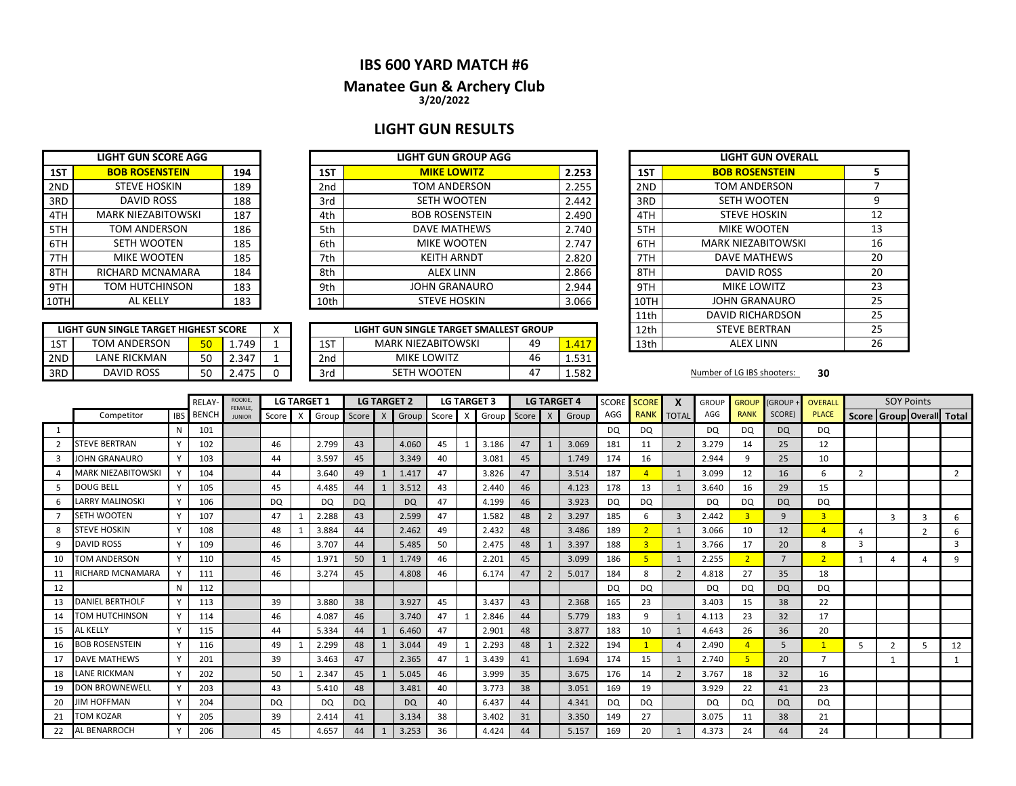## **IBS 600 YARD MATCH #6**

### **3/20/2022 Manatee Gun & Archery Club**

### **LIGHT GUN RESULTS**

|     | <b>LIGHT GUN SCORE AGG</b> |     |
|-----|----------------------------|-----|
| 1ST | <b>BOB ROSENSTEIN</b>      | 194 |
| 2ND | <b>STEVE HOSKIN</b>        | 189 |
| 3RD | <b>DAVID ROSS</b>          | 188 |
| 4TH | <b>MARK NIEZABITOWSKI</b>  | 187 |
| 5TH | <b>TOM ANDERSON</b>        | 186 |
| 6TH | <b>SETH WOOTEN</b>         | 185 |
| 7TH | <b>MIKE WOOTEN</b>         | 185 |
| 8TH | RICHARD MCNAMARA           | 184 |
| 9TH | <b>TOM HUTCHINSON</b>      | 183 |
|     | <b>AL KELLY</b>            | 183 |

| LIGHT GUN SINGLE TARGET HIGHEST SCORE |                                    |    |       |  |  |  |  |  |  |  |  |  |
|---------------------------------------|------------------------------------|----|-------|--|--|--|--|--|--|--|--|--|
| 1ST                                   | <b>TOM ANDERSON</b><br>1.749<br>50 |    |       |  |  |  |  |  |  |  |  |  |
| 2ND                                   | <b>LANF RICKMAN</b>                | 50 | 2.347 |  |  |  |  |  |  |  |  |  |
| 3RD                                   | DAVID ROSS                         | 50 | 2475  |  |  |  |  |  |  |  |  |  |

|      | LIGHT GUN SCORE AGG   |     |      | LIGHT GUN GROUP AGG   |       |      | LIGHT GUN O'           |
|------|-----------------------|-----|------|-----------------------|-------|------|------------------------|
| 1ST  | <b>BOB ROSENSTEIN</b> | 194 | 1ST  | <b>MIKE LOWITZ</b>    | 2.253 | 1ST  | <b>BOB ROSENSTE</b>    |
| 2ND  | <b>STEVE HOSKIN</b>   | 189 | 2nd  | TOM ANDERSON          | 2.255 | 2ND  | <b>TOM ANDERSO</b>     |
| 3RD  | DAVID ROSS            | 188 | 3rd  | <b>SETH WOOTEN</b>    | 2.442 | 3RD  | <b>SETH WOOTER</b>     |
| 4TH  | MARK NIEZABITOWSKI    | 187 | 4th  | <b>BOB ROSENSTEIN</b> | 2.490 | 4TH  | <b>STEVE HOSKIN</b>    |
| 5TH  | TOM ANDERSON          | 186 | 5th  | DAVE MATHEWS          | 2.740 | 5TH  | <b>MIKE WOOTER</b>     |
| 6TH  | SETH WOOTEN           | 185 | 6th  | <b>MIKE WOOTEN</b>    | 2.747 | 6TH  | <b>MARK NIEZABITOV</b> |
| 7TH  | <b>MIKE WOOTEN</b>    | 185 | 7th  | <b>KEITH ARNDT</b>    | 2.820 | 7TH  | <b>DAVE MATHEW</b>     |
| 8TH  | RICHARD MCNAMARA      | 184 | 8th  | ALEX LINN             | 2.866 | 8TH  | <b>DAVID ROSS</b>      |
| 9TH  | TOM HUTCHINSON        | 183 | 9th  | <b>JOHN GRANAURO</b>  | 2.944 | 9TH  | <b>MIKE LOWITZ</b>     |
| 10TH | AL KELLY              | 183 | 10th | <b>STEVE HOSKIN</b>   | 3.066 | 10TH | <b>JOHN GRANAUR</b>    |

|     | LIGHT GUN SINGLE TARGET HIGHEST SCORE |    |                   | $\lambda$ |     | LIGHT GUN SINGLE TARGET SMALLEST GROUP |    |       | 12th | <b>STEVE BERTRAN</b>       |    |
|-----|---------------------------------------|----|-------------------|-----------|-----|----------------------------------------|----|-------|------|----------------------------|----|
| 1ST | TOM ANDERSON                          | π∩ | .749              |           | 1ST | <b>MARK NIEZABITOWSKI</b>              | 49 |       | 13th | <b>ALEX LINN</b>           |    |
| 2ND | LANE RICKMAN                          | 50 | 2.347             |           | 2nd | <b>MIKE LOWITZ</b>                     | 46 | 521   |      |                            |    |
| 3RD | <b>DAVID ROSS</b>                     | 50 | 2.47 <sup>5</sup> |           | 3rd | SETH WOOTEN                            | 4  | 1.582 |      | Number of LG IBS shooters: | 30 |

| <b>LIGHT GUN GROUP AGG</b>     |       |       |                       | <b>LIGHT GUN OVERALL</b>  |    |
|--------------------------------|-------|-------|-----------------------|---------------------------|----|
| <b>MIKE LOWITZ</b>             | 2.253 | 1ST   | <b>BOB ROSENSTEIN</b> | 5                         |    |
| TOM ANDERSON                   | 2.255 | 2ND   | TOM ANDERSON          | 7                         |    |
| SETH WOOTEN                    |       | 2.442 | 3RD                   | <b>SETH WOOTEN</b>        | 9  |
| <b>BOB ROSENSTEIN</b>          |       | 2.490 | 4TH                   | <b>STEVE HOSKIN</b>       | 12 |
| <b>DAVE MATHEWS</b>            |       | 2.740 | 5TH                   | <b>MIKE WOOTEN</b>        | 13 |
| <b>MIKE WOOTEN</b>             |       | 2.747 | 6TH                   | <b>MARK NIEZABITOWSKI</b> | 16 |
| <b>KEITH ARNDT</b>             |       | 2.820 | 7TH                   | <b>DAVE MATHEWS</b>       | 20 |
| <b>ALEX LINN</b>               |       | 2.866 | 8TH                   | <b>DAVID ROSS</b>         | 20 |
| <b>JOHN GRANAURO</b>           |       | 2.944 | 9TH                   | <b>MIKE LOWITZ</b>        | 23 |
| <b>STEVE HOSKIN</b>            |       | 3.066 | 10TH                  | JOHN GRANAURO             | 25 |
|                                |       |       | 11th                  | DAVID RICHARDSON          | 25 |
| N SINGLE TARGET SMALLEST GROUP |       |       | 12th                  | <b>STEVE BERTRAN</b>      | 25 |
| K NIEZABITOWSKI<br>49          |       | 1.417 | 13th                  | <b>ALEX LINN</b>          | 26 |

|    |                           |            | RELAY        | ROOKIE,<br>FEMALE. |           |   | <b>LG TARGET 1</b> |           |   | <b>LG TARGET 2</b> |    |   | <b>LG TARGET 3</b> |       |                | <b>LG TARGET 4</b> | <b>SCORE</b> | <b>SCORE</b>   | X              | <b>GROUP</b> | <b>GROUP</b>   | <b>(GROUP</b>  | <b>OVERALL</b> |    | <b>SOY Points</b>         |                |                |
|----|---------------------------|------------|--------------|--------------------|-----------|---|--------------------|-----------|---|--------------------|----|---|--------------------|-------|----------------|--------------------|--------------|----------------|----------------|--------------|----------------|----------------|----------------|----|---------------------------|----------------|----------------|
|    | Competitor                | <b>IBS</b> | <b>BENCH</b> | <b>JUNIOR</b>      | Score     | X | Group              | Score X   |   | Group Score        |    | X | Group              | Score | $\mathsf{X}$   | Group              | AGG          | <b>RANK</b>    | <b>TOTAL</b>   | AGG          | <b>RANK</b>    | SCORE)         | <b>PLACE</b>   |    | Score Group Overall Total |                |                |
|    |                           | N          | 101          |                    |           |   |                    |           |   |                    |    |   |                    |       |                |                    | DQ           | DQ             |                | DQ           | DQ             | <b>DQ</b>      | <b>DQ</b>      |    |                           |                |                |
|    | <b>STEVE BERTRAN</b>      |            | 102          |                    | 46        |   | 2.799              | 43        |   | 4.060              | 45 |   | 3.186              | 47    |                | 3.069              | 181          | 11             | $\overline{2}$ | 3.279        | 14             | 25             | 12             |    |                           |                |                |
| 3  | <b>JOHN GRANAURO</b>      |            | 103          |                    | 44        |   | 3.597              | 45        |   | 3.349              | 40 |   | 3.081              | 45    |                | 1.749              | 174          | 16             |                | 2.944        | q              | 25             | 10             |    |                           |                |                |
|    | <b>MARK NIEZABITOWSKI</b> |            | 104          |                    | 44        |   | 3.640              | 49        | 1 | 1.417              | 47 |   | 3.826              | 47    |                | 3.514              | 187          | $\overline{A}$ | 1              | 3.099        | 12             | 16             | 6              | 2  |                           |                | $\overline{2}$ |
|    | <b>DOUG BELL</b>          |            | 105          |                    | 45        |   | 4.485              | 44        |   | 3.512              | 43 |   | 2.440              | 46    |                | 4.123              | 178          | 13             | 1              | 3.640        | 16             | 29             | 15             |    |                           |                |                |
|    | <b>LARRY MALINOSKI</b>    |            | 106          |                    | DQ        |   | DQ                 | <b>DQ</b> |   | <b>DQ</b>          | 47 |   | 4.199              | 46    |                | 3.923              | DQ           | <b>DQ</b>      |                | DQ           | DQ             | <b>DQ</b>      | DQ             |    |                           |                |                |
|    | <b>SETH WOOTEN</b>        |            | 107          |                    | 47        |   | 2.288              | 43        |   | 2.599              | 47 |   | 1.582              | 48    | $\overline{2}$ | 3.297              | 185          | 6              | $\overline{3}$ | 2.442        | 3              | 9              | 3 <sup>2</sup> |    | 3                         | 3              | 6              |
| 8  | <b>STEVE HOSKIN</b>       |            | 108          |                    | 48        |   | 3.884              | 44        |   | 2.462              | 49 |   | 2.432              | 48    |                | 3.486              | 189          | $\overline{2}$ | 1              | 3.066        | 10             | 12             | $\overline{4}$ | Δ  |                           | $\overline{2}$ | 6              |
| q  | <b>DAVID ROSS</b>         |            | 109          |                    | 46        |   | 3.707              | 44        |   | 5.485              | 50 |   | 2.475              | 48    |                | 3.397              | 188          | 3              | 1              | 3.766        | 17             | 20             | 8              | 3  |                           |                | 3              |
| 10 | <b>TOM ANDERSON</b>       |            | 110          |                    | 45        |   | 1.971              | 50        |   | 1.749              | 46 |   | 2.201              | 45    |                | 3.099              | 186          |                | 1              | 2.255        | $\overline{2}$ | $\overline{7}$ | $\overline{2}$ |    |                           |                | 9              |
| 11 | <b>RICHARD MCNAMARA</b>   |            | 111          |                    | 46        |   | 3.274              | 45        |   | 4.808              | 46 |   | 6.174              | 47    | $\overline{2}$ | 5.017              | 184          | 8              | 2              | 4.818        | 27             | 35             | 18             |    |                           |                |                |
| 12 |                           | N          | 112          |                    |           |   |                    |           |   |                    |    |   |                    |       |                |                    | <b>DQ</b>    | <b>DQ</b>      |                | DQ           | DQ             | <b>DQ</b>      | DQ             |    |                           |                |                |
| 13 | <b>DANIEL BERTHOLF</b>    |            | 113          |                    | 39        |   | 3.880              | 38        |   | 3.927              | 45 |   | 3.437              | 43    |                | 2.368              | 165          | 23             |                | 3.403        | 15             | 38             | 22             |    |                           |                |                |
| 14 | <b>TOM HUTCHINSON</b>     |            | 114          |                    | 46        |   | 4.087              | 46        |   | 3.740              | 47 |   | 2.846              | 44    |                | 5.779              | 183          | 9              | $\mathbf{1}$   | 4.113        | 23             | 32             | 17             |    |                           |                |                |
| 15 | <b>AL KELLY</b>           |            | 115          |                    | 44        |   | 5.334              | 44        |   | 6.460              | 47 |   | 2.901              | 48    |                | 3.877              | 183          | 10             | 1              | 4.643        | 26             | 36             | 20             |    |                           |                |                |
| 16 | <b>BOB ROSENSTEIN</b>     |            | 116          |                    | 49        |   | 2.299              | 48        | 1 | 3.044              | 49 |   | 2.293              | 48    |                | 2.322              | 194          |                | $\overline{a}$ | 2.490        |                | 5              |                | 5. | $\overline{2}$            |                | 12             |
| 17 | <b>DAVE MATHEWS</b>       |            | 201          |                    | 39        |   | 3.463              | 47        |   | 2.365              | 47 |   | 3.439              | 41    |                | 1.694              | 174          | 15             | $\mathbf{1}$   | 2.740        |                | 20             |                |    |                           |                |                |
| 18 | <b>LANE RICKMAN</b>       |            | 202          |                    | 50        |   | 2.347              | 45        |   | 5.045              | 46 |   | 3.999              | 35    |                | 3.675              | 176          | 14             | $\overline{2}$ | 3.767        | 18             | 32             | 16             |    |                           |                |                |
| 19 | <b>DON BROWNEWELL</b>     |            | 203          |                    | 43        |   | 5.410              | 48        |   | 3.481              | 40 |   | 3.773              | 38    |                | 3.051              | 169          | 19             |                | 3.929        | 22             | 41             | 23             |    |                           |                |                |
| 20 | <b>JIM HOFFMAN</b>        |            | 204          |                    | <b>DQ</b> |   | DQ                 | <b>DQ</b> |   | DQ                 | 40 |   | 6.437              | 44    |                | 4.341              | DQ           | <b>DQ</b>      |                | DQ           | DQ             | <b>DQ</b>      | <b>DQ</b>      |    |                           |                |                |
| 21 | <b>TOM KOZAR</b>          |            | 205          |                    | 39        |   | 2.414              | 41        |   | 3.134              | 38 |   | 3.402              | 31    |                | 3.350              | 149          | 27             |                | 3.075        | 11             | 38             | 21             |    |                           |                |                |
| 22 | <b>AL BENARROCH</b>       |            | 206          |                    | 45        |   | 4.657              | 44        | 1 | 3.253              | 36 |   | 4.424              | 44    |                | 5.157              | 169          | 20             |                | 4.373        | 24             | 44             | 24             |    |                           |                |                |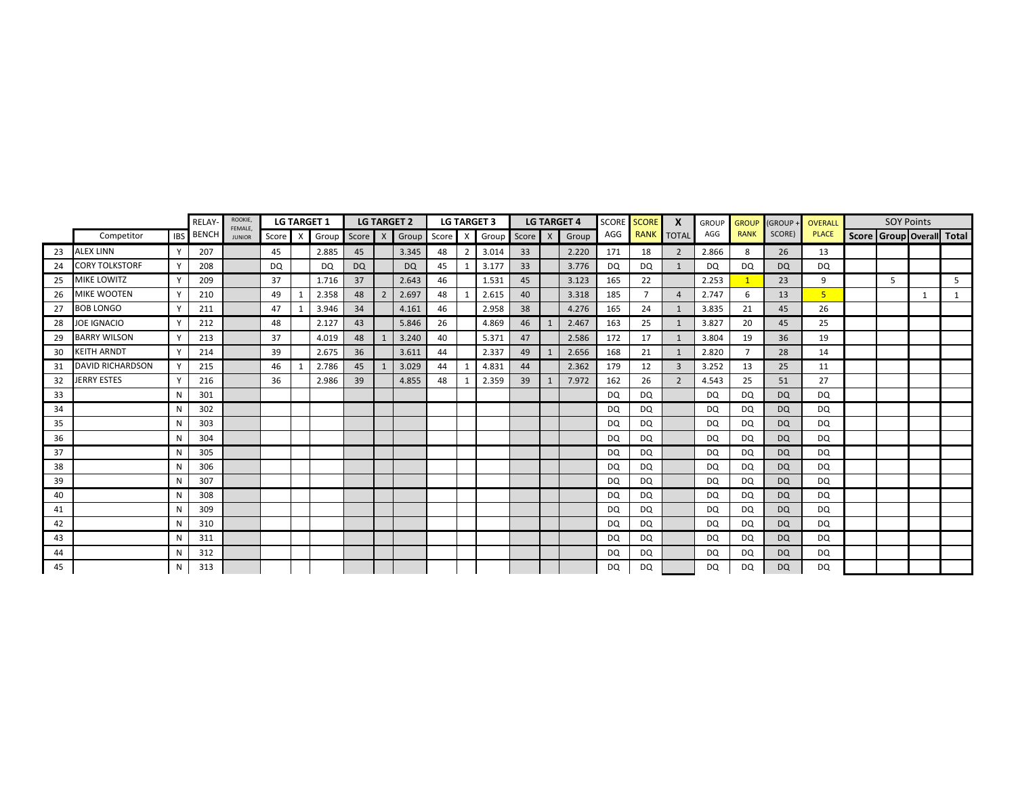|    |                         |            | <b>RELAY</b> | ROOKIE,<br>FEMALE. |       |   | <b>LG TARGET 1</b> |           |                | <b>LG TARGET 2</b>  |    |    | <b>LG TARGET 3</b> |       |   | <b>LG TARGET 4</b> | <b>SCORE</b> | <b>SCORE</b>   | X              | <b>GROUP</b> | <b>GROUP</b> | GROUP ·   | OVERALL        | <b>SOY Points</b> |   |                           |
|----|-------------------------|------------|--------------|--------------------|-------|---|--------------------|-----------|----------------|---------------------|----|----|--------------------|-------|---|--------------------|--------------|----------------|----------------|--------------|--------------|-----------|----------------|-------------------|---|---------------------------|
|    | Competitor              | <b>IBS</b> | <b>BENCH</b> | <b>JUNIOR</b>      | Score | X | Group              | Score X   |                | Group Score X Group |    |    |                    | Score | X | Group              | AGG          | <b>RANK</b>    | <b>TOTAL</b>   | AGG          | <b>RANK</b>  | SCORE)    | <b>PLACE</b>   |                   |   | Score Group Overall Total |
| 23 | <b>ALEX LINN</b>        | Y          | 207          |                    | 45    |   | 2.885              | 45        |                | 3.345               | 48 | 2  | 3.014              | 33    |   | 2.220              | 171          | 18             | 2              | 2.866        | 8            | 26        | 13             |                   |   |                           |
| 24 | <b>CORY TOLKSTORF</b>   | Y          | 208          |                    | DQ    |   | DQ                 | <b>DQ</b> |                | <b>DQ</b>           | 45 | -1 | 3.177              | 33    |   | 3.776              | DQ           | DQ             | $\mathbf{1}$   | DQ           | DQ           | <b>DQ</b> | DQ             |                   |   |                           |
| 25 | MIKE LOWITZ             | Y          | 209          |                    | 37    |   | 1.716              | 37        |                | 2.643               | 46 |    | 1.531              | 45    |   | 3.123              | 165          | 22             |                | 2.253        |              | 23        | 9              | 5                 |   | 5                         |
| 26 | MIKE WOOTEN             | Y          | 210          |                    | 49    |   | 2.358              | 48        | $\overline{2}$ | 2.697               | 48 |    | 2.615              | 40    |   | 3.318              | 185          | $\overline{7}$ | $\overline{4}$ | 2.747        | 6            | 13        | 5 <sup>1</sup> |                   | 1 |                           |
| 27 | <b>BOB LONGO</b>        |            | 211          |                    | 47    |   | 3.946              | 34        |                | 4.161               | 46 |    | 2.958              | 38    |   | 4.276              | 165          | 24             | 1              | 3.835        | 21           | 45        | 26             |                   |   |                           |
| 28 | <b>JOE IGNACIO</b>      | Y          | 212          |                    | 48    |   | 2.127              | 43        |                | 5.846               | 26 |    | 4.869              | 46    |   | 2.467              | 163          | 25             | 1              | 3.827        | 20           | 45        | 25             |                   |   |                           |
| 29 | <b>BARRY WILSON</b>     |            | 213          |                    | 37    |   | 4.019              | 48        |                | 3.240               | 40 |    | 5.371              | 47    |   | 2.586              | 172          | 17             | $\mathbf{1}$   | 3.804        | 19           | 36        | 19             |                   |   |                           |
| 30 | <b>KEITH ARNDT</b>      |            | 214          |                    | 39    |   | 2.675              | 36        |                | 3.611               | 44 |    | 2.337              | 49    |   | 2.656              | 168          | 21             | $\mathbf{1}$   | 2.820        | 7            | 28        | 14             |                   |   |                           |
| 31 | <b>DAVID RICHARDSON</b> |            | 215          |                    | 46    |   | 2.786              | 45        |                | 3.029               | 44 |    | 4.831              | 44    |   | 2.362              | 179          | 12             | 3              | 3.252        | 13           | 25        | 11             |                   |   |                           |
| 32 | <b>JERRY ESTES</b>      |            | 216          |                    | 36    |   | 2.986              | 39        |                | 4.855               | 48 |    | 2.359              | 39    |   | 7.972              | 162          | 26             | $\overline{2}$ | 4.543        | 25           | 51        | 27             |                   |   |                           |
| 33 |                         | N          | 301          |                    |       |   |                    |           |                |                     |    |    |                    |       |   |                    | DQ           | DQ             |                | DQ           | DQ           | <b>DQ</b> | DQ             |                   |   |                           |
| 34 |                         | N          | 302          |                    |       |   |                    |           |                |                     |    |    |                    |       |   |                    | DQ.          | DQ             |                | DQ           | DQ           | <b>DQ</b> | DQ             |                   |   |                           |
| 35 |                         | N          | 303          |                    |       |   |                    |           |                |                     |    |    |                    |       |   |                    | DQ.          | DQ             |                | DQ.          | DQ.          | DQ        | DQ             |                   |   |                           |
| 36 |                         | N          | 304          |                    |       |   |                    |           |                |                     |    |    |                    |       |   |                    | DQ           | DQ             |                | DQ           | DQ           | <b>DQ</b> | DQ             |                   |   |                           |
| 37 |                         | N          | 305          |                    |       |   |                    |           |                |                     |    |    |                    |       |   |                    | DQ           | DQ             |                | DQ           | DQ           | <b>DQ</b> | DQ             |                   |   |                           |
| 38 |                         | N          | 306          |                    |       |   |                    |           |                |                     |    |    |                    |       |   |                    | DQ           | DQ             |                | DQ           | DQ           | <b>DQ</b> | DQ             |                   |   |                           |
| 39 |                         | N          | 307          |                    |       |   |                    |           |                |                     |    |    |                    |       |   |                    | DQ           | DQ             |                | DQ           | DQ           | <b>DQ</b> | DQ             |                   |   |                           |
| 40 |                         | N          | 308          |                    |       |   |                    |           |                |                     |    |    |                    |       |   |                    | DQ           | DQ             |                | DQ           | DQ           | <b>DQ</b> | DQ             |                   |   |                           |
| 41 |                         | N          | 309          |                    |       |   |                    |           |                |                     |    |    |                    |       |   |                    | DQ           | DQ             |                | DQ           | DQ           | <b>DQ</b> | DQ             |                   |   |                           |
| 42 |                         | N          | 310          |                    |       |   |                    |           |                |                     |    |    |                    |       |   |                    | DQ.          | DQ             |                | DQ           | DQ.          | <b>DQ</b> | DQ             |                   |   |                           |
| 43 |                         | N          | 311          |                    |       |   |                    |           |                |                     |    |    |                    |       |   |                    | DQ           | DQ             |                | DQ           | DQ           | <b>DQ</b> | DQ             |                   |   |                           |
| 44 |                         | N          | 312          |                    |       |   |                    |           |                |                     |    |    |                    |       |   |                    | DQ           | DQ             |                | DQ.          | DQ.          | <b>DQ</b> | DQ             |                   |   |                           |
| 45 |                         | N          | 313          |                    |       |   |                    |           |                |                     |    |    |                    |       |   |                    | <b>DQ</b>    | DQ             |                | DQ           | DQ           | <b>DQ</b> | DQ             |                   |   |                           |